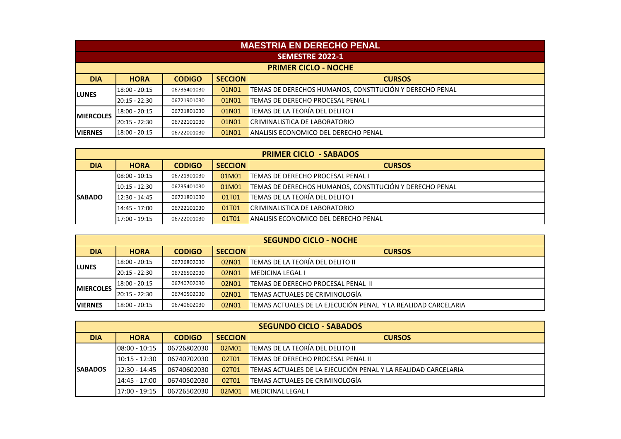|                   | <b>MAESTRIA EN DERECHO PENAL</b>                                |             |       |                                                         |  |  |  |
|-------------------|-----------------------------------------------------------------|-------------|-------|---------------------------------------------------------|--|--|--|
|                   | <b>SEMESTRE 2022-1</b>                                          |             |       |                                                         |  |  |  |
|                   | <b>PRIMER CICLO - NOCHE</b>                                     |             |       |                                                         |  |  |  |
| <b>DIA</b>        | <b>SECCION</b><br><b>HORA</b><br><b>CODIGO</b><br><b>CURSOS</b> |             |       |                                                         |  |  |  |
| <b>LUNES</b>      | $18:00 - 20:15$                                                 | 06735401030 | 01N01 | TEMAS DE DERECHOS HUMANOS, CONSTITUCIÓN Y DERECHO PENAL |  |  |  |
|                   | 20:15 - 22:30                                                   | 06721901030 | 01N01 | TEMAS DE DERECHO PROCESAL PENAL I                       |  |  |  |
| <b>IMIERCOLES</b> | 18:00 - 20:15                                                   | 06721801030 | 01N01 | TEMAS DE LA TEORÍA DEL DELITO I                         |  |  |  |
|                   | 20:15 - 22:30                                                   | 06722101030 | 01N01 | CRIMINALISTICA DE LABORATORIO                           |  |  |  |
| <b>VIERNES</b>    | 18:00 - 20:15                                                   | 06722001030 | 01N01 | IANALISIS ECONOMICO DEL DERECHO PENAL                   |  |  |  |

|                |                 |               |                | <b>PRIMER CICLO - SABADOS</b>                           |
|----------------|-----------------|---------------|----------------|---------------------------------------------------------|
| <b>DIA</b>     | <b>HORA</b>     | <b>CODIGO</b> | <b>SECCION</b> | <b>CURSOS</b>                                           |
|                | 08:00 - 10:15   | 06721901030   | 01M01          | <b>TEMAS DE DERECHO PROCESAL PENAL I</b>                |
|                | 10:15 - 12:30   | 06735401030   | 01M01          | TEMAS DE DERECHOS HUMANOS, CONSTITUCIÓN Y DERECHO PENAL |
| <b>ISABADO</b> | $12:30 - 14:45$ | 06721801030   | 01T01          | TEMAS DE LA TEORÍA DEL DELITO I                         |
|                | 14:45 - 17:00   | 06722101030   | 01T01          | CRIMINALISTICA DE LABORATORIO                           |
|                | 17:00 - 19:15   | 06722001030   | 01T01          | <b>ANALISIS ECONOMICO DEL DERECHO PENAL</b>             |

|                   |                 |               |                | <b>SEGUNDO CICLO - NOCHE</b>                                  |
|-------------------|-----------------|---------------|----------------|---------------------------------------------------------------|
| <b>DIA</b>        | <b>HORA</b>     | <b>CODIGO</b> | <b>SECCION</b> | <b>CURSOS</b>                                                 |
| <b>LUNES</b>      | 18:00 - 20:15   | 06726802030   | 02N01          | <b>TEMAS DE LA TEORÍA DEL DELITO II</b>                       |
|                   | $20:15 - 22:30$ | 06726502030   | 02N01          | <b>IMEDICINA LEGAL I</b>                                      |
| <b>IMIERCOLES</b> | $18:00 - 20:15$ | 06740702030   | 02N01          | <b>ITEMAS DE DERECHO PROCESAL PENAL II</b>                    |
|                   | 20:15 - 22:30   | 06740502030   | 02N01          | <b>TEMAS ACTUALES DE CRIMINOLOGÍA</b>                         |
| <b>IVIERNES</b>   | 18:00 - 20:15   | 06740602030   | 02N01          | TEMAS ACTUALES DE LA EJECUCIÓN PENAL Y LA REALIDAD CARCELARIA |

|                 |                  | <b>CODIGO</b><br><b>HORA</b><br>06726802030<br>02M01<br>06740702030<br>02T01<br>06740602030<br>02T01<br>02T01<br>06740502030 |                | <b>SEGUNDO CICLO - SABADOS</b>                                |
|-----------------|------------------|------------------------------------------------------------------------------------------------------------------------------|----------------|---------------------------------------------------------------|
| <b>DIA</b>      |                  |                                                                                                                              | <b>SECCION</b> | <b>CURSOS</b>                                                 |
|                 | $108:00 - 10:15$ |                                                                                                                              |                | <b>TEMAS DE LA TEORÍA DEL DELITO II</b>                       |
|                 | 10:15 - 12:30    |                                                                                                                              |                | <b>TEMAS DE DERECHO PROCESAL PENAL II</b>                     |
| <b>ISABADOS</b> | 12:30 - 14:45    |                                                                                                                              |                | TEMAS ACTUALES DE LA EJECUCIÓN PENAL Y LA REALIDAD CARCELARIA |
|                 | 14:45 - 17:00    |                                                                                                                              |                | <b>TEMAS ACTUALES DE CRIMINOLOGÍA</b>                         |
|                 | 17:00 - 19:15    | 06726502030                                                                                                                  | 02M01          | <b>IMEDICINAL LEGAL I</b>                                     |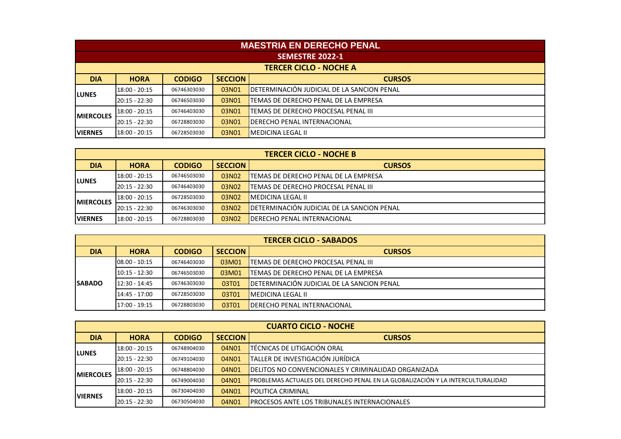|                   | <b>MAESTRIA EN DERECHO PENAL</b>                                |             |       |                                             |  |  |  |
|-------------------|-----------------------------------------------------------------|-------------|-------|---------------------------------------------|--|--|--|
|                   | <b>SEMESTRE 2022-1</b>                                          |             |       |                                             |  |  |  |
|                   | <b>TERCER CICLO - NOCHE A</b>                                   |             |       |                                             |  |  |  |
| <b>DIA</b>        | <b>SECCION</b><br><b>HORA</b><br><b>CODIGO</b><br><b>CURSOS</b> |             |       |                                             |  |  |  |
| <b>LUNES</b>      | 18:00 - 20:15                                                   | 06746303030 | 03N01 | DETERMINACIÓN JUDICIAL DE LA SANCION PENAL  |  |  |  |
|                   | $20:15 - 22:30$                                                 | 06746503030 | 03N01 | TEMAS DE DERECHO PENAL DE LA EMPRESA        |  |  |  |
| <b>IMIERCOLES</b> | 18:00 - 20:15                                                   | 06746403030 | 03N01 | <b>ITEMAS DE DERECHO PROCESAL PENAL III</b> |  |  |  |
|                   | $20:15 - 22:30$                                                 | 06728803030 | 03N01 | <b>IDERECHO PENAL INTERNACIONAL</b>         |  |  |  |
| <b>VIERNES</b>    | 18:00 - 20:15                                                   | 06728503030 | 03N01 | <b>IMEDICINA LEGAL II</b>                   |  |  |  |

|                   |                 | <b>CODIGO</b><br><b>HORA</b><br>03N02<br>06746503030<br>03N02<br>06746403030<br>03N02<br>06728503030 |                | <b>TERCER CICLO - NOCHE B</b>               |
|-------------------|-----------------|------------------------------------------------------------------------------------------------------|----------------|---------------------------------------------|
| <b>DIA</b>        |                 |                                                                                                      | <b>SECCION</b> | <b>CURSOS</b>                               |
| <b>ILUNES</b>     | 18:00 - 20:15   |                                                                                                      |                | lTEMAS DE DERECHO PENAL DE LA EMPRESA       |
|                   | 20:15 - 22:30   |                                                                                                      |                | <b>ITEMAS DE DERECHO PROCESAL PENAL III</b> |
| <b>IMIERCOLES</b> | $18:00 - 20:15$ |                                                                                                      |                | <b>IMEDICINA LEGAL II</b>                   |
|                   | 20:15 - 22:30   | 06746303030                                                                                          | 03N02          | DETERMINACIÓN JUDICIAL DE LA SANCION PENAL  |
| <b>IVIERNES</b>   | 18:00 - 20:15   | 06728803030                                                                                          | 03N02          | <b>IDERECHO PENAL INTERNACIONAL</b>         |

|               |                 |               |                | <b>TERCER CICLO - SABADOS</b>                |
|---------------|-----------------|---------------|----------------|----------------------------------------------|
| <b>DIA</b>    | <b>HORA</b>     | <b>CODIGO</b> | <b>SECCION</b> | <b>CURSOS</b>                                |
|               | 108.00 - 10:15  | 06746403030   | 03M01          | <b>TEMAS DE DERECHO PROCESAL PENAL III</b>   |
|               | $10:15 - 12:30$ | 06746503030   | 03M01          | <b>ITEMAS DE DERECHO PENAL DE LA EMPRESA</b> |
| <b>SABADO</b> | $12:30 - 14:45$ | 06746303030   | 03T01          | DETERMINACIÓN JUDICIAL DE LA SANCION PENAL   |
|               | 14:45 - 17:00   | 06728503030   | 03T01          | <b>IMEDICINA LEGAL II</b>                    |
|               | 17:00 - 19:15   | 06728803030   | 03T01          | <b>IDERECHO PENAL INTERNACIONAL</b>          |

|                   |                 |               |                | <b>CUARTO CICLO - NOCHE</b>                                                      |
|-------------------|-----------------|---------------|----------------|----------------------------------------------------------------------------------|
| <b>DIA</b>        | <b>HORA</b>     | <b>CODIGO</b> | <b>SECCION</b> | <b>CURSOS</b>                                                                    |
| <b>LUNES</b>      | 18:00 - 20:15   | 06748904030   | 04N01          | <b>TÉCNICAS DE LITIGACIÓN ORAL</b>                                               |
|                   | 20:15 - 22:30   | 06749104030   | 04N01          | TALLER DE INVESTIGACIÓN JURÍDICA                                                 |
| <b>IMIERCOLES</b> | $18:00 - 20:15$ | 06748804030   | 04N01          | <b>I</b> DELITOS NO CONVENCIONALES Y CRIMINALIDAD ORGANIZADA                     |
|                   | 20:15 - 22:30   | 06749004030   | 04N01          | IPROBLEMAS ACTUALES DEL DERECHO PENAL EN LA GLOBALIZACIÓN Y LA INTERCULTURALIDAD |
|                   | 18:00 - 20:15   | 06730404030   | 04N01          | <b>POLITICA CRIMINAL</b>                                                         |
| <b>IVIERNES</b>   | 20:15 - 22:30   | 06730504030   | 04N01          | <b>PROCESOS ANTE LOS TRIBUNALES INTERNACIONALES</b>                              |